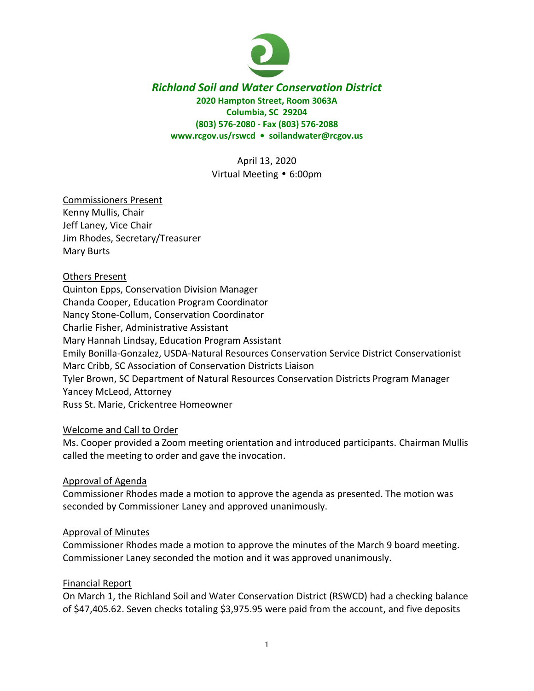

### *Richland Soil and Water Conservation District* **2020 Hampton Street, Room 3063A Columbia, SC 29204 (803) 576-2080 - Fax (803) 576-2088 www.rcgov.us/rswcd • soilandwater@rcgov.us**

April 13, 2020 Virtual Meeting • 6:00pm

# Commissioners Present

Kenny Mullis, Chair Jeff Laney, Vice Chair Jim Rhodes, Secretary/Treasurer Mary Burts

### Others Present

Quinton Epps, Conservation Division Manager Chanda Cooper, Education Program Coordinator Nancy Stone-Collum, Conservation Coordinator Charlie Fisher, Administrative Assistant Mary Hannah Lindsay, Education Program Assistant Emily Bonilla-Gonzalez, USDA-Natural Resources Conservation Service District Conservationist Marc Cribb, SC Association of Conservation Districts Liaison Tyler Brown, SC Department of Natural Resources Conservation Districts Program Manager Yancey McLeod, Attorney Russ St. Marie, Crickentree Homeowner

#### Welcome and Call to Order

Ms. Cooper provided a Zoom meeting orientation and introduced participants. Chairman Mullis called the meeting to order and gave the invocation.

#### Approval of Agenda

Commissioner Rhodes made a motion to approve the agenda as presented. The motion was seconded by Commissioner Laney and approved unanimously.

#### Approval of Minutes

Commissioner Rhodes made a motion to approve the minutes of the March 9 board meeting. Commissioner Laney seconded the motion and it was approved unanimously.

#### Financial Report

On March 1, the Richland Soil and Water Conservation District (RSWCD) had a checking balance of \$47,405.62. Seven checks totaling \$3,975.95 were paid from the account, and five deposits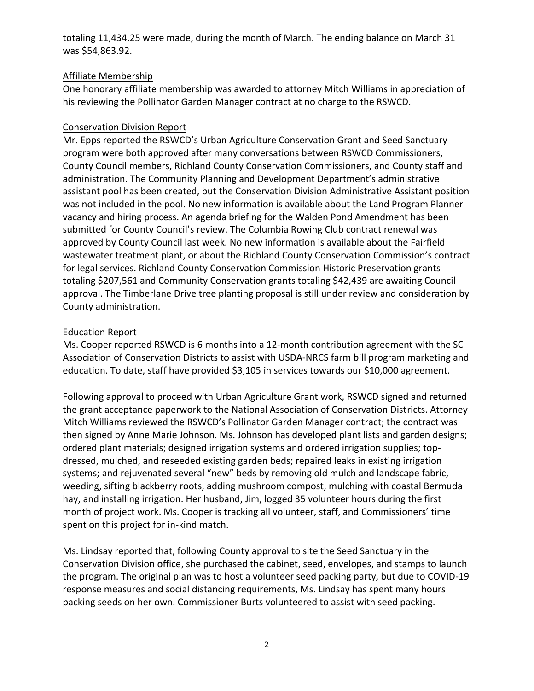totaling 11,434.25 were made, during the month of March. The ending balance on March 31 was \$54,863.92.

# Affiliate Membership

One honorary affiliate membership was awarded to attorney Mitch Williams in appreciation of his reviewing the Pollinator Garden Manager contract at no charge to the RSWCD.

## Conservation Division Report

Mr. Epps reported the RSWCD's Urban Agriculture Conservation Grant and Seed Sanctuary program were both approved after many conversations between RSWCD Commissioners, County Council members, Richland County Conservation Commissioners, and County staff and administration. The Community Planning and Development Department's administrative assistant pool has been created, but the Conservation Division Administrative Assistant position was not included in the pool. No new information is available about the Land Program Planner vacancy and hiring process. An agenda briefing for the Walden Pond Amendment has been submitted for County Council's review. The Columbia Rowing Club contract renewal was approved by County Council last week. No new information is available about the Fairfield wastewater treatment plant, or about the Richland County Conservation Commission's contract for legal services. Richland County Conservation Commission Historic Preservation grants totaling \$207,561 and Community Conservation grants totaling \$42,439 are awaiting Council approval. The Timberlane Drive tree planting proposal is still under review and consideration by County administration.

### Education Report

Ms. Cooper reported RSWCD is 6 months into a 12-month contribution agreement with the SC Association of Conservation Districts to assist with USDA-NRCS farm bill program marketing and education. To date, staff have provided \$3,105 in services towards our \$10,000 agreement.

Following approval to proceed with Urban Agriculture Grant work, RSWCD signed and returned the grant acceptance paperwork to the National Association of Conservation Districts. Attorney Mitch Williams reviewed the RSWCD's Pollinator Garden Manager contract; the contract was then signed by Anne Marie Johnson. Ms. Johnson has developed plant lists and garden designs; ordered plant materials; designed irrigation systems and ordered irrigation supplies; topdressed, mulched, and reseeded existing garden beds; repaired leaks in existing irrigation systems; and rejuvenated several "new" beds by removing old mulch and landscape fabric, weeding, sifting blackberry roots, adding mushroom compost, mulching with coastal Bermuda hay, and installing irrigation. Her husband, Jim, logged 35 volunteer hours during the first month of project work. Ms. Cooper is tracking all volunteer, staff, and Commissioners' time spent on this project for in-kind match.

Ms. Lindsay reported that, following County approval to site the Seed Sanctuary in the Conservation Division office, she purchased the cabinet, seed, envelopes, and stamps to launch the program. The original plan was to host a volunteer seed packing party, but due to COVID-19 response measures and social distancing requirements, Ms. Lindsay has spent many hours packing seeds on her own. Commissioner Burts volunteered to assist with seed packing.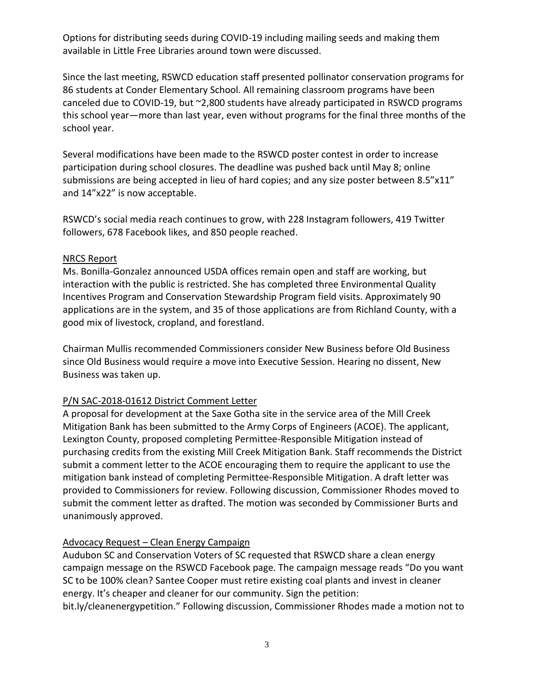Options for distributing seeds during COVID-19 including mailing seeds and making them available in Little Free Libraries around town were discussed.

Since the last meeting, RSWCD education staff presented pollinator conservation programs for 86 students at Conder Elementary School. All remaining classroom programs have been canceled due to COVID-19, but ~2,800 students have already participated in RSWCD programs this school year—more than last year, even without programs for the final three months of the school year.

Several modifications have been made to the RSWCD poster contest in order to increase participation during school closures. The deadline was pushed back until May 8; online submissions are being accepted in lieu of hard copies; and any size poster between 8.5"x11" and 14"x22" is now acceptable.

RSWCD's social media reach continues to grow, with 228 Instagram followers, 419 Twitter followers, 678 Facebook likes, and 850 people reached.

### NRCS Report

Ms. Bonilla-Gonzalez announced USDA offices remain open and staff are working, but interaction with the public is restricted. She has completed three Environmental Quality Incentives Program and Conservation Stewardship Program field visits. Approximately 90 applications are in the system, and 35 of those applications are from Richland County, with a good mix of livestock, cropland, and forestland.

Chairman Mullis recommended Commissioners consider New Business before Old Business since Old Business would require a move into Executive Session. Hearing no dissent, New Business was taken up.

# P/N SAC-2018-01612 District Comment Letter

A proposal for development at the Saxe Gotha site in the service area of the Mill Creek Mitigation Bank has been submitted to the Army Corps of Engineers (ACOE). The applicant, Lexington County, proposed completing Permittee-Responsible Mitigation instead of purchasing credits from the existing Mill Creek Mitigation Bank. Staff recommends the District submit a comment letter to the ACOE encouraging them to require the applicant to use the mitigation bank instead of completing Permittee-Responsible Mitigation. A draft letter was provided to Commissioners for review. Following discussion, Commissioner Rhodes moved to submit the comment letter as drafted. The motion was seconded by Commissioner Burts and unanimously approved.

# Advocacy Request – Clean Energy Campaign

Audubon SC and Conservation Voters of SC requested that RSWCD share a clean energy campaign message on the RSWCD Facebook page. The campaign message reads "Do you want SC to be 100% clean? Santee Cooper must retire existing coal plants and invest in cleaner energy. It's cheaper and cleaner for our community. Sign the petition: bit.ly/cleanenergypetition." Following discussion, Commissioner Rhodes made a motion not to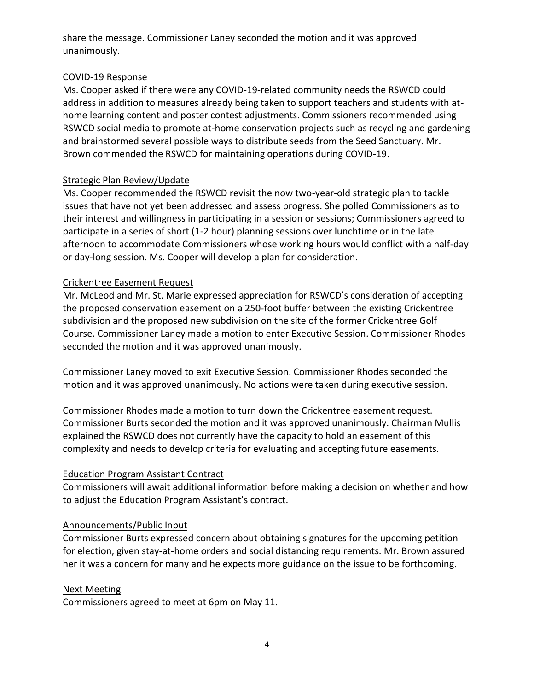share the message. Commissioner Laney seconded the motion and it was approved unanimously.

### COVID-19 Response

Ms. Cooper asked if there were any COVID-19-related community needs the RSWCD could address in addition to measures already being taken to support teachers and students with athome learning content and poster contest adjustments. Commissioners recommended using RSWCD social media to promote at-home conservation projects such as recycling and gardening and brainstormed several possible ways to distribute seeds from the Seed Sanctuary. Mr. Brown commended the RSWCD for maintaining operations during COVID-19.

# Strategic Plan Review/Update

Ms. Cooper recommended the RSWCD revisit the now two-year-old strategic plan to tackle issues that have not yet been addressed and assess progress. She polled Commissioners as to their interest and willingness in participating in a session or sessions; Commissioners agreed to participate in a series of short (1-2 hour) planning sessions over lunchtime or in the late afternoon to accommodate Commissioners whose working hours would conflict with a half-day or day-long session. Ms. Cooper will develop a plan for consideration.

### Crickentree Easement Request

Mr. McLeod and Mr. St. Marie expressed appreciation for RSWCD's consideration of accepting the proposed conservation easement on a 250-foot buffer between the existing Crickentree subdivision and the proposed new subdivision on the site of the former Crickentree Golf Course. Commissioner Laney made a motion to enter Executive Session. Commissioner Rhodes seconded the motion and it was approved unanimously.

Commissioner Laney moved to exit Executive Session. Commissioner Rhodes seconded the motion and it was approved unanimously. No actions were taken during executive session.

Commissioner Rhodes made a motion to turn down the Crickentree easement request. Commissioner Burts seconded the motion and it was approved unanimously. Chairman Mullis explained the RSWCD does not currently have the capacity to hold an easement of this complexity and needs to develop criteria for evaluating and accepting future easements.

# Education Program Assistant Contract

Commissioners will await additional information before making a decision on whether and how to adjust the Education Program Assistant's contract.

#### Announcements/Public Input

Commissioner Burts expressed concern about obtaining signatures for the upcoming petition for election, given stay-at-home orders and social distancing requirements. Mr. Brown assured her it was a concern for many and he expects more guidance on the issue to be forthcoming.

# Next Meeting

Commissioners agreed to meet at 6pm on May 11.